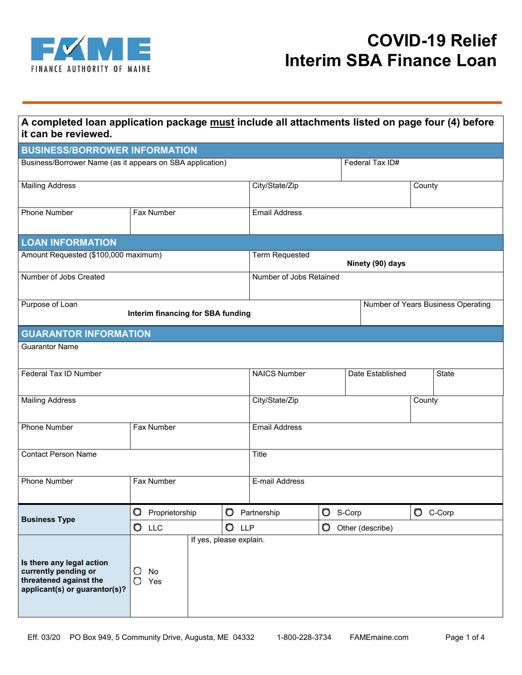

| A completed loan application package must include all attachments listed on page four (4) before<br>it can be reviewed. |                                                |   |                                           |                                    |                  |            |              |  |
|-------------------------------------------------------------------------------------------------------------------------|------------------------------------------------|---|-------------------------------------------|------------------------------------|------------------|------------|--------------|--|
| <b>BUSINESS/BORROWER INFORMATION</b>                                                                                    |                                                |   |                                           |                                    |                  |            |              |  |
| Business/Borrower Name (as it appears on SBA application)                                                               |                                                |   | Federal Tax ID#                           |                                    |                  |            |              |  |
| <b>Mailing Address</b>                                                                                                  |                                                |   | City/State/Zip                            |                                    |                  | County     |              |  |
| <b>Phone Number</b>                                                                                                     | Fax Number                                     |   | <b>Email Address</b>                      |                                    |                  |            |              |  |
| <b>LOAN INFORMATION</b>                                                                                                 |                                                |   |                                           |                                    |                  |            |              |  |
| Amount Requested (\$100,000 maximum)                                                                                    |                                                |   | <b>Term Requested</b><br>Ninety (90) days |                                    |                  |            |              |  |
| Number of Jobs Created                                                                                                  |                                                |   | Number of Jobs Retained                   |                                    |                  |            |              |  |
| Purpose of Loan<br>Interim financing for SBA funding                                                                    |                                                |   |                                           | Number of Years Business Operating |                  |            |              |  |
| <b>GUARANTOR INFORMATION</b>                                                                                            |                                                |   |                                           |                                    |                  |            |              |  |
| <b>Guarantor Name</b>                                                                                                   |                                                |   |                                           |                                    |                  |            |              |  |
|                                                                                                                         |                                                |   |                                           |                                    |                  |            |              |  |
| Federal Tax ID Number                                                                                                   |                                                |   | <b>NAICS Number</b>                       |                                    | Date Established |            | <b>State</b> |  |
| <b>Mailing Address</b>                                                                                                  |                                                |   | City/State/Zip                            |                                    |                  | County     |              |  |
| <b>Phone Number</b>                                                                                                     | Fax Number                                     |   |                                           | <b>Email Address</b>               |                  |            |              |  |
| <b>Contact Person Name</b>                                                                                              |                                                |   | Title                                     |                                    |                  |            |              |  |
| <b>Phone Number</b>                                                                                                     | Fax Number                                     |   | E-mail Address                            |                                    |                  |            |              |  |
| <b>Business Type</b>                                                                                                    | O<br>Proprietorship                            | O | Partnership                               |                                    | $\bullet$ S-Corp | $O$ C-Corp |              |  |
|                                                                                                                         | O<br>O<br><b>LLP</b><br><b>LLC</b>             |   | O<br>Other (describe)                     |                                    |                  |            |              |  |
| Is there any legal action<br>currently pending or<br>threatened against the<br>applicant(s) or guarantor(s)?            | If yes, please explain.<br>O<br>No<br>О<br>Yes |   |                                           |                                    |                  |            |              |  |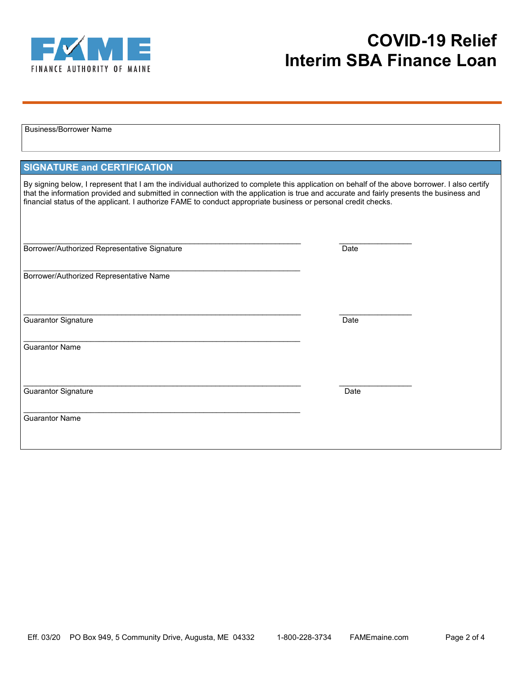

| <b>Business/Borrower Name</b>                                                                                                                                                                                                                                                                                                                                                                                |      |  |  |  |  |  |
|--------------------------------------------------------------------------------------------------------------------------------------------------------------------------------------------------------------------------------------------------------------------------------------------------------------------------------------------------------------------------------------------------------------|------|--|--|--|--|--|
|                                                                                                                                                                                                                                                                                                                                                                                                              |      |  |  |  |  |  |
|                                                                                                                                                                                                                                                                                                                                                                                                              |      |  |  |  |  |  |
| <b>SIGNATURE and CERTIFICATION</b>                                                                                                                                                                                                                                                                                                                                                                           |      |  |  |  |  |  |
| By signing below, I represent that I am the individual authorized to complete this application on behalf of the above borrower. I also certify<br>that the information provided and submitted in connection with the application is true and accurate and fairly presents the business and<br>financial status of the applicant. I authorize FAME to conduct appropriate business or personal credit checks. |      |  |  |  |  |  |
| Borrower/Authorized Representative Signature                                                                                                                                                                                                                                                                                                                                                                 | Date |  |  |  |  |  |
| Borrower/Authorized Representative Name                                                                                                                                                                                                                                                                                                                                                                      |      |  |  |  |  |  |
| <b>Guarantor Signature</b>                                                                                                                                                                                                                                                                                                                                                                                   | Date |  |  |  |  |  |
| <b>Guarantor Name</b>                                                                                                                                                                                                                                                                                                                                                                                        |      |  |  |  |  |  |
| Guarantor Signature                                                                                                                                                                                                                                                                                                                                                                                          | Date |  |  |  |  |  |
| <b>Guarantor Name</b>                                                                                                                                                                                                                                                                                                                                                                                        |      |  |  |  |  |  |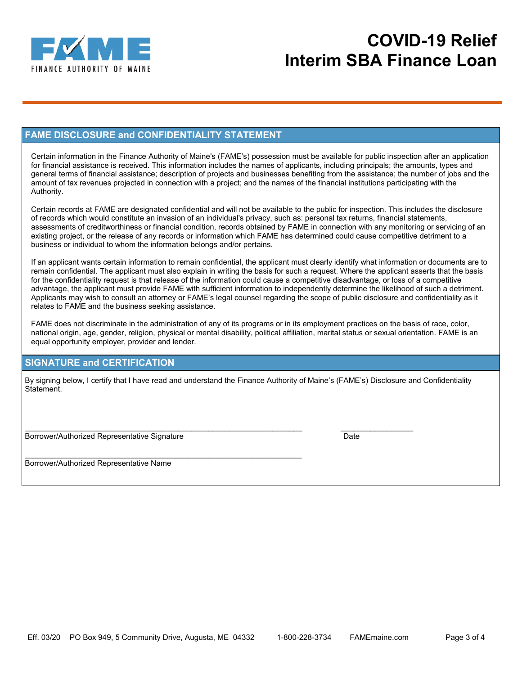

#### **FAME DISCLOSURE and CONFIDENTIALITY STATEMENT**

Certain information in the Finance Authority of Maine's (FAME's) possession must be available for public inspection after an application for financial assistance is received. This information includes the names of applicants, including principals; the amounts, types and general terms of financial assistance; description of projects and businesses benefiting from the assistance; the number of jobs and the amount of tax revenues projected in connection with a project; and the names of the financial institutions participating with the Authority.

Certain records at FAME are designated confidential and will not be available to the public for inspection. This includes the disclosure of records which would constitute an invasion of an individual's privacy, such as: personal tax returns, financial statements, assessments of creditworthiness or financial condition, records obtained by FAME in connection with any monitoring or servicing of an existing project, or the release of any records or information which FAME has determined could cause competitive detriment to a business or individual to whom the information belongs and/or pertains.

If an applicant wants certain information to remain confidential, the applicant must clearly identify what information or documents are to remain confidential. The applicant must also explain in writing the basis for such a request. Where the applicant asserts that the basis for the confidentiality request is that release of the information could cause a competitive disadvantage, or loss of a competitive advantage, the applicant must provide FAME with sufficient information to independently determine the likelihood of such a detriment. Applicants may wish to consult an attorney or FAME's legal counsel regarding the scope of public disclosure and confidentiality as it relates to FAME and the business seeking assistance.

FAME does not discriminate in the administration of any of its programs or in its employment practices on the basis of race, color, national origin, age, gender, religion, physical or mental disability, political affiliation, marital status or sexual orientation. FAME is an equal opportunity employer, provider and lender.

#### **SIGNATURE and CERTIFICATION**

By signing below, I certify that I have read and understand the Finance Authority of Maine's (FAME's) Disclosure and Confidentiality Statement.

 $\mathcal{L}_\mathcal{L} = \{ \mathcal{L}_\mathcal{L} = \{ \mathcal{L}_\mathcal{L} = \{ \mathcal{L}_\mathcal{L} = \{ \mathcal{L}_\mathcal{L} = \{ \mathcal{L}_\mathcal{L} = \{ \mathcal{L}_\mathcal{L} = \{ \mathcal{L}_\mathcal{L} = \{ \mathcal{L}_\mathcal{L} = \{ \mathcal{L}_\mathcal{L} = \{ \mathcal{L}_\mathcal{L} = \{ \mathcal{L}_\mathcal{L} = \{ \mathcal{L}_\mathcal{L} = \{ \mathcal{L}_\mathcal{L} = \{ \mathcal{L}_\mathcal{$ Borrower/Authorized Representative Signature **Date** Date

 $\overline{\phantom{a}}$  , and the contribution of the contribution of the contribution of the contribution of the contribution of the contribution of the contribution of the contribution of the contribution of the contribution of the Borrower/Authorized Representative Name